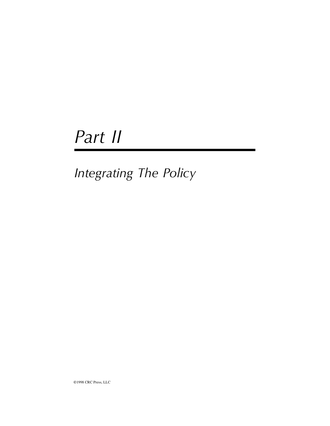# <span id="page-0-0"></span>*Part II*

## *Integrating The Policy*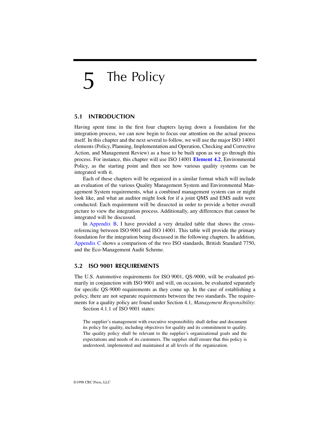### <span id="page-1-0"></span>5 The Policy

#### **5.1 INTRODUCTION**

Having spent time in the first four chapters laying down a foundation for the integration process, we can now begin to focus our attention on the actual process itself. In this chapter and the next several to follow, we will use the major ISO 14001 elements (Policy, Planning, Implementation and Operation, Checking and Corrective Action, and Management Review) as a base to be built upon as we go through this process. For instance, this chapter will use ISO 14001 **[Element 4.2](#page-2-0)**, Environmental Policy, as the starting point and then see how various quality systems can be integrated with it.

Each of these chapters will be organized in a similar format which will include an evaluation of the various Quality Management System and Environmental Management System requirements, what a combined management system can or might look like, and what an auditor might look for if a joint QMS and EMS audit were conducted. Each requirement will be dissected in order to provide a better overall picture to view the integration process. Additionally, any differences that cannot be integrated will be discussed.

In Appendix B, I have provided a very detailed table that shows the crossreferencing between ISO 9001 and ISO 14001. This table will provide the primary foundation for the integration being discussed in the following chapters. In addition, Appendix C shows a comparison of the two ISO standards, British Standard 7750, and the Eco-Management Audit Scheme.

#### **5.2 ISO 9001 REQUIREMENTS**

The U.S. Automotive requirements for ISO 9001, QS-9000, will be evaluated primarily in conjunction with ISO 9001 and will, on occasion, be evaluated separately for specific QS-9000 requirements as they come up. In the case of establishing a policy, there are not separate requirements between the two standards. The requirements for a quality policy are found under Section 4.1, *Management Responsibility*:

Section 4.1.1 of ISO 9001 states:

The supplier's management with executive responsibility shall define and document its policy for quality, including objectives for quality and its commitment to quality. The quality policy shall be relevant to the supplier's organizational goals and the expectations and needs of its customers. The supplier shall ensure that this policy is understood, implemented and maintained at all levels of the organization.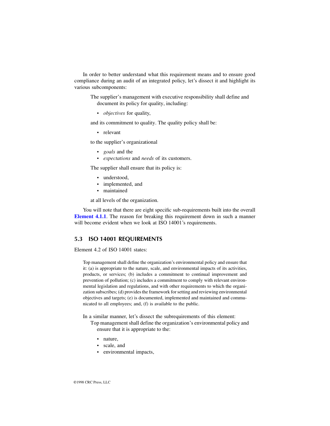<span id="page-2-0"></span>In order to better understand what this requirement means and to ensure good compliance during an audit of an integrated policy, let's dissect it and highlight its various subcomponents:

The supplier's management with executive responsibility shall define and document its policy for quality, including:

• *objectives* for quality,

and its commitment to quality. The quality policy shall be:

• relevant

to the supplier's organizational

- *goals* and the
- *expectations* and *needs* of its customers.

The supplier shall ensure that its policy is:

- understood,
- implemented, and
- maintained

at all levels of the organization.

You will note that there are eight specific sub-requirements built into the overall **[Element 4.1.1](#page-1-0)**. The reason for breaking this requirement down in such a manner will become evident when we look at ISO 14001's requirements.

#### **5.3 ISO 14001 REQUIREMENTS**

Element 4.2 of ISO 14001 states:

Top management shall define the organization's environmental policy and ensure that it: (a) is appropriate to the nature, scale, and environmental impacts of its activities, products, or services; (b) includes a commitment to continual improvement and prevention of pollution; (c) includes a commitment to comply with relevant environmental legislation and regulations, and with other requirements to which the organization subscribes; (d) provides the framework for setting and reviewing environmental objectives and targets; (e) is documented, implemented and maintained and communicated to all employees; and, (f) is available to the public.

In a similar manner, let's dissect the subrequirements of this element:

Top management shall define the organization's environmental policy and ensure that it is appropriate to the:

- nature,
- scale, and
- environmental impacts,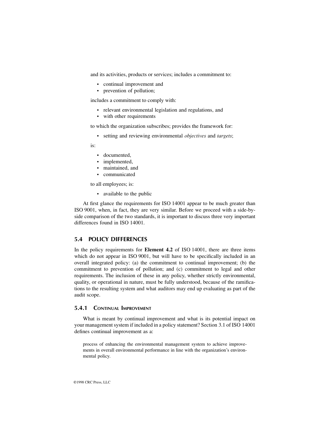and its activities, products or services; includes a commitment to:

- continual improvement and
- prevention of pollution;

includes a commitment to comply with:

- relevant environmental legislation and regulations, and
- with other requirements

to which the organization subscribes; provides the framework for:

• setting and reviewing environmental *objectives* and *targets*;

is:

- documented,
- implemented.
- maintained, and
- communicated

to all employees; is:

• available to the public

At first glance the requirements for ISO 14001 appear to be much greater than ISO 9001, when, in fact, they are very similar. Before we proceed with a side-byside comparison of the two standards, it is important to discuss three very important differences found in ISO 14001.

#### **5.4 POLICY DIFFERENCES**

In the policy requirements for **Element 4.2** of ISO 14001, there are three items which do not appear in ISO 9001, but will have to be specifically included in an overall integrated policy: (a) the commitment to continual improvement; (b) the commitment to prevention of pollution; and (c) commitment to legal and other requirements. The inclusion of these in any policy, whether strictly environmental, quality, or operational in nature, must be fully understood, because of the ramifications to the resulting system and what auditors may end up evaluating as part of the audit scope.

#### **5.4.1 CONTINUAL IMPROVEMENT**

What is meant by continual improvement and what is its potential impact on your management system if included in a policy statement? Section 3.1 of ISO 14001 defines continual improvement as a:

process of enhancing the environmental management system to achieve improvements in overall environmental performance in line with the organization's environmental policy.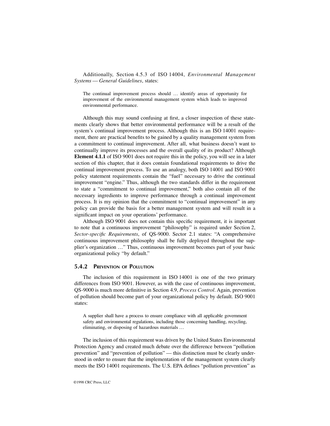Additionally, Section 4.5.3 of ISO 14004, *Environmental Management Systems — General Guidelines*, states:

The continual improvement process should … identify areas of opportunity for improvement of the environmental management system which leads to improved environmental performance.

Although this may sound confusing at first, a closer inspection of these statements clearly shows that better environmental performance will be a result of the system's continual improvement process. Although this is an ISO 14001 requirement, there are practical benefits to be gained by a quality management system from a commitment to continual improvement. After all, what business doesn't want to continually improve its processes and the overall quality of its product? Although **Element 4.1.1** of ISO 9001 does not require this in the policy, you will see in a later section of this chapter, that it does contain foundational requirements to drive the continual improvement process. To use an analogy, both ISO 14001 and ISO 9001 policy statement requirements contain the "fuel" necessary to drive the continual improvement "engine." Thus, although the two standards differ in the requirement to state a "commitment to continual improvement," both also contain all of the necessary ingredients to improve performance through a continual improvement process. It is my opinion that the commitment to "continual improvement" in any policy can provide the basis for a better management system and will result in a significant impact on your operations' performance.

Although ISO 9001 does not contain this specific requirement, it is important to note that a continuous improvement "philosophy" is required under Section 2, *Sector-specific Requirements*, of QS-9000. Sector 2.1 states: "A comprehensive continuous improvement philosophy shall be fully deployed throughout the supplier's organization …" Thus, continuous improvement becomes part of your basic organizational policy "by default."

#### **5.4.2 PREVENTION OF POLLUTION**

The inclusion of this requirement in ISO 14001 is one of the two primary differences from ISO 9001. However, as with the case of continuous improvement, QS-9000 is much more definitive in Section 4.9, *Process Control*. Again, prevention of pollution should become part of your organizational policy by default. ISO 9001 states:

A supplier shall have a process to ensure compliance with all applicable government safety and environmental regulations, including those concerning handling, recycling, eliminating, or disposing of hazardous materials …

The inclusion of this requirement was driven by the United States Environmental Protection Agency and created much debate over the difference between "pollution prevention" and "prevention of pollution" — this distinction must be clearly understood in order to ensure that the implementation of the management system clearly meets the ISO 14001 requirements. The U.S. EPA defines "pollution prevention" as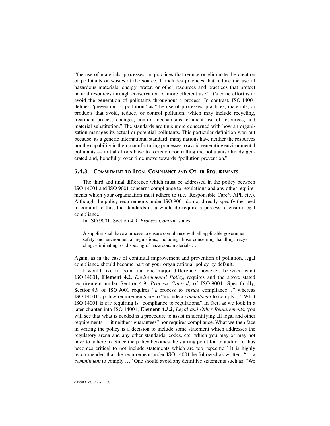"the use of materials, processes, or practices that reduce or eliminate the creation of pollutants or wastes at the source. It includes practices that reduce the use of hazardous materials, energy, water, or other resources and practices that protect natural resources through conservation or more efficient use." It's basic effort is to avoid the generation of pollutants throughout a process. In contrast, ISO 14001 defines "prevention of pollution" as "the use of processes, practices, materials, or products that avoid, reduce, or control pollution, which may include recycling, treatment process changes, control mechanisms, efficient use of resources, and material substitution." The standards are thus more concerned with how an organization manages its actual or potential pollutants. This particular definition won out because, as a generic international standard, many nations have neither the resources nor the capability in their manufacturing processes to avoid generating environmental pollutants — initial efforts have to focus on controlling the pollutants already generated and, hopefully, over time move towards "pollution prevention."

#### **5.4.3 COMMITMENT TO LEGAL COMPLIANCE AND OTHER REQUIREMENTS**

The third and final difference which must be addressed in the policy between ISO 14001 and ISO 9001 concerns compliance to regulations and any other requirements which your organization must adhere to (i.e., Responsible Care®, API, etc.). Although the policy requirements under ISO 9001 do not directly specify the need to commit to this, the standards as a whole do require a process to ensure legal compliance.

In ISO 9001, Section 4.9, *Process Control,* states:

A supplier shall have a process to ensure compliance with all applicable government safety and environmental regulations, including those concerning handling, recycling, eliminating, or disposing of hazardous materials …

Again, as in the case of continual improvement and prevention of pollution, legal compliance should become part of your organizational policy by default.

I would like to point out one major difference, however, between what ISO 14001, **Element 4.2**, *Environmental Policy*, requires and the above stated requirement under Section 4.9, *Process Control*, of ISO 9001. Specifically, Section 4.9 of ISO 9001 requires "a process to *ensure* compliance…" whereas ISO 14001's policy requirements are to "include a *commitment* to comply…" What ISO 14001 is *not* requiring is "compliance to regulations." In fact, as we look in a later chapter into ISO 14001, **Element 4.3.2**, *Legal and Other Requirements*, you will see that what is needed is a procedure to assist in identifying all legal and other requirements — it neither "guarantees" nor requires compliance. What we then face in writing the policy is a decision to include some statement which addresses the regulatory arena and any other standards, codes, etc. which you may or may not have to adhere to. Since the policy becomes the starting point for an auditor, it thus becomes critical to not include statements which are too "specific." It is highly recommended that the requirement under ISO 14001 be followed as written: "… a *commitment* to comply …" One should avoid any definitive statements such as: "We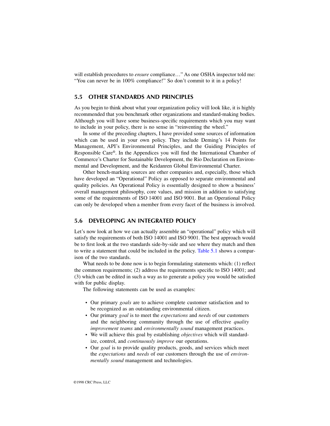will establish procedures to *ensure* compliance…" As one OSHA inspector told me: "You can never be in 100% compliance!" So don't commit to it in a policy!

#### **5.5 OTHER STANDARDS AND PRINCIPLES**

As you begin to think about what your organization policy will look like, it is highly recommended that you benchmark other organizations and standard-making bodies. Although you will have some business-specific requirements which you may want to include in your policy, there is no sense in "reinventing the wheel."

In some of the preceding chapters, I have provided some sources of information which can be used in your own policy. They include Deming's 14 Points for Management, API's Environmental Principles, and the Guiding Principles of Responsible Care®. In the Appendices you will find the International Chamber of Commerce's Charter for Sustainable Development, the Rio Declaration on Environmental and Development, and the Keidanren Global Environmental Charter.

Other bench-marking sources are other companies and, especially, those which have developed an "Operational" Policy as opposed to separate environmental and quality policies. An Operational Policy is essentially designed to show a business' overall management philosophy, core values, and mission in addition to satisfying some of the requirements of ISO 14001 and ISO 9001. But an Operational Policy can only be developed when a member from every facet of the business is involved.

#### **5.6 DEVELOPING AN INTEGRATED POLICY**

Let's now look at how we can actually assemble an "operational" policy which will satisfy the requirements of both ISO 14001 and ISO 9001. The best approach would be to first look at the two standards side-by-side and see where they match and then to write a statement that could be included in the policy. [Table 5.1](#page-7-0) shows a comparison of the two standards.

What needs to be done now is to begin formulating statements which: (1) reflect the common requirements; (2) address the requirements specific to ISO 14001; and (3) which can be edited in such a way as to generate a policy you would be satisfied with for public display.

The following statements can be used as examples:

- Our primary *goals* are to achieve complete customer satisfaction and to be recognized as an outstanding environmental citizen.
- Our primary *goal* is to meet the *expectations* and *needs* of our customers and the neighboring community through the use of effective *quality improvement teams* and *environmentally sound* management practices.
- We will achieve this goal by establishing *objectives* which will standardize, control, and *continuously improve* our operations.
- Our *goal* is to provide quality products, goods, and services which meet the *expectations* and *needs* of our customers through the use of *environmentally sound* management and technologies.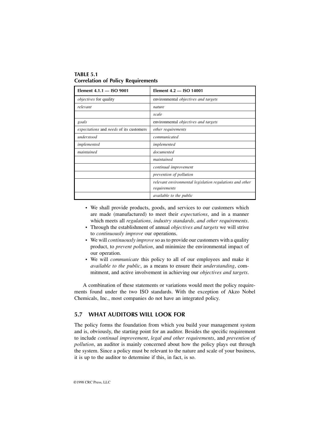| Element 4.1.1 - ISO 9001                | Element 4.2 - ISO 14001                                                  |
|-----------------------------------------|--------------------------------------------------------------------------|
| <i>objectives</i> for quality           | environmental <i>objectives</i> and targets                              |
| relevant                                | nature                                                                   |
|                                         | scale                                                                    |
| goals                                   | environmental objectives and targets                                     |
| expectations and needs of its customers | other requirements                                                       |
| understood                              | communicated                                                             |
| implemented                             | implemented                                                              |
| maintained                              | documented                                                               |
|                                         | maintained                                                               |
|                                         | continual improvement                                                    |
|                                         | prevention of pollution                                                  |
|                                         | relevant environmental legislation regulations and other<br>requirements |
|                                         | <i>available to the public</i>                                           |

#### <span id="page-7-0"></span>**TABLE 5.1 Correlation of Policy Requirements**

- We shall provide products, goods, and services to our customers which are made (manufactured) to meet their *expectations*, and in a manner which meets all *regulations, industry standards, and other requirements*.
- Through the establishment of annual *objectives and targets* we will strive to *continuously improve* our operations.
- We will *continuously improve* so as to provide our customers with a quality product, to *prevent pollution*, and minimize the environmental impact of our operation.
- We will *communicate* this policy to all of our employees and make it *available to the public*, as a means to ensure their *understanding*, commitment, and active involvement in achieving our *objectives and targets*.

A combination of these statements or variations would meet the policy requirements found under the two ISO standards. With the exception of Akzo Nobel Chemicals, Inc., most companies do not have an integrated policy.

#### **5.7 WHAT AUDITORS WILL LOOK FOR**

The policy forms the foundation from which you build your management system and is, obviously, the starting point for an auditor. Besides the specific requirement to include *continual improvement*, *legal and other requirements*, and *prevention of pollution*, an auditor is mainly concerned about how the policy plays out through the system. Since a policy must be relevant to the nature and scale of your business, it is up to the auditor to determine if this, in fact, is so.